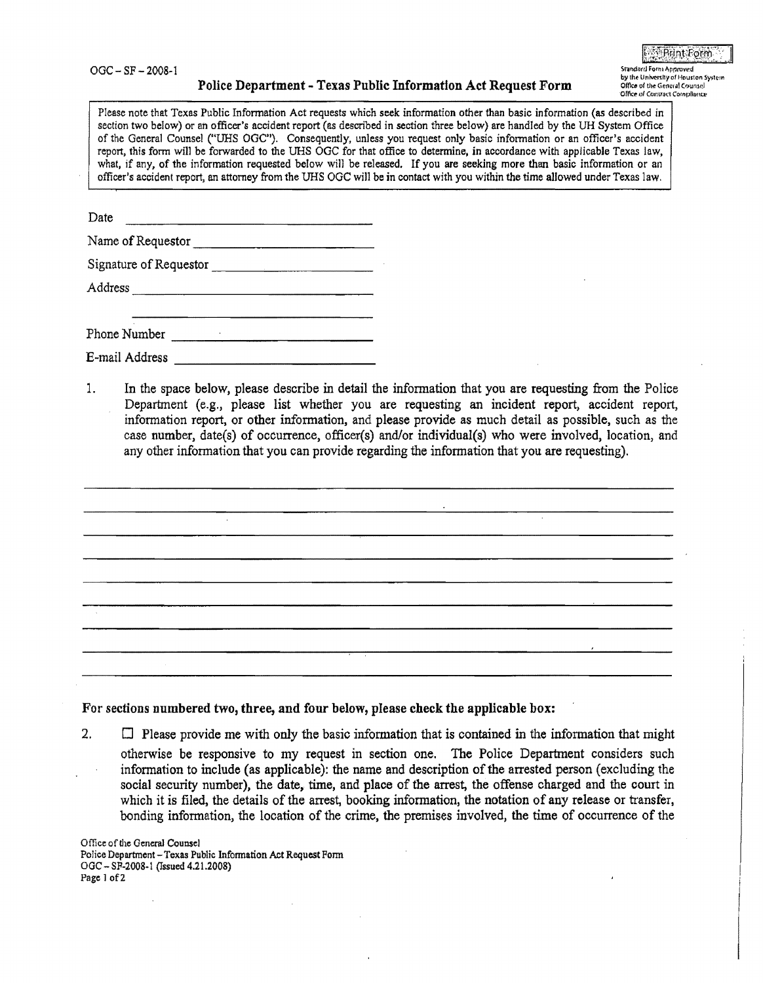$OGC - SF - 2008-1$ 

## Police Department - Texas Public Information Act Request Form

Please note that Texas Public Information Act requests which seek information other than basic information (as described in section two below) or an officer's accident report (as described in section three below) are handled by the UH System Office of the General Counsel ("UHS OGC"). Consequently, unless you request only basic information or an officer's accident report, this form will be forwarded to the UHS OGC for that office to determine, in accordance with applicable Texas law, what, if any, of the information requested below will be released. If you are seeking more than basic information or an officer's accident report, an attorney from the UHS OGC will be in contact with you within the time allowed under Texas law.

| Date                   |  |
|------------------------|--|
| Name of Requestor      |  |
| Signature of Requestor |  |
| Address                |  |
| Dhong Number           |  |

| T HOMA TAMMOOT |  |
|----------------|--|
| E-mail Address |  |

In the space below, please describe in detail the information that you are requesting from the Police 1. Department (e.g., please list whether you are requesting an incident report, accident report. information report, or other information, and please provide as much detail as possible, such as the case number, date(s) of occurrence, officer(s) and/or individual(s) who were involved, location, and any other information that you can provide regarding the information that you are requesting).

For sections numbered two, three, and four below, please check the applicable box:

 $2.$  $\Box$  Please provide me with only the basic information that is contained in the information that might otherwise be responsive to my request in section one. The Police Department considers such information to include (as applicable): the name and description of the arrested person (excluding the social security number), the date, time, and place of the arrest, the offense charged and the court in which it is filed, the details of the arrest, booking information, the notation of any release or transfer, bonding information, the location of the crime, the premises involved, the time of occurrence of the

Office of the General Counsel Police Department - Texas Public Information Act Request Form OGC - SP-2008-1 (Issued 4.21.2008) Page 1 of 2

**E** Print Form Standard Form Approved

by the University of Houston System

Office of the General Counsel Office of Contract Compliance